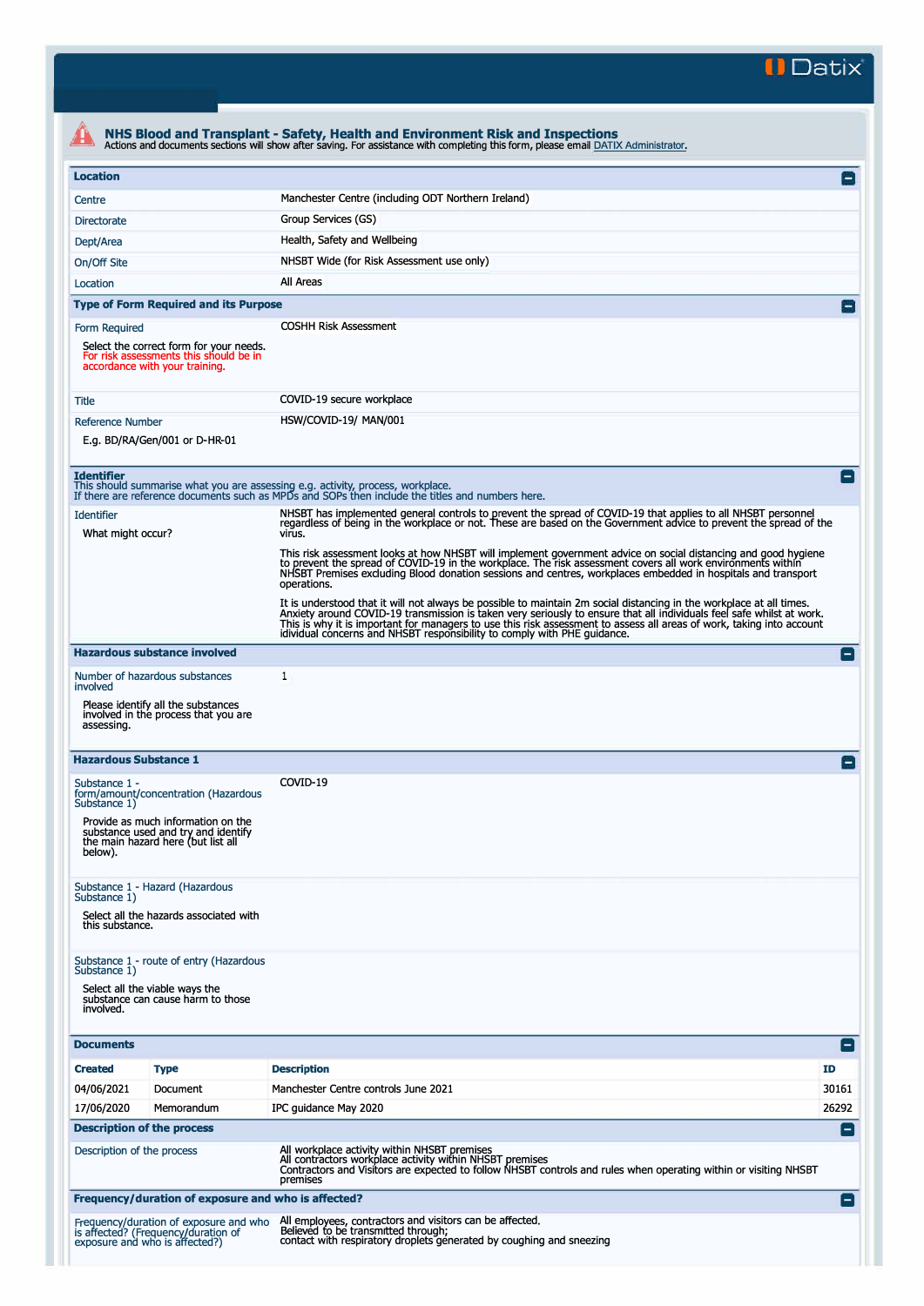**II Datix"** 

| <b>Location</b>                        |                                                                                                                     |                                                                                                                                                                                                                                                                                                                                                                                                                                                    | E                  |
|----------------------------------------|---------------------------------------------------------------------------------------------------------------------|----------------------------------------------------------------------------------------------------------------------------------------------------------------------------------------------------------------------------------------------------------------------------------------------------------------------------------------------------------------------------------------------------------------------------------------------------|--------------------|
| Centre                                 |                                                                                                                     | Manchester Centre (including ODT Northern Ireland)                                                                                                                                                                                                                                                                                                                                                                                                 |                    |
| <b>Directorate</b>                     |                                                                                                                     | Group Services (GS)                                                                                                                                                                                                                                                                                                                                                                                                                                |                    |
| Dept/Area                              |                                                                                                                     | Health, Safety and Wellbeing                                                                                                                                                                                                                                                                                                                                                                                                                       |                    |
| On/Off Site                            |                                                                                                                     | NHSBT Wide (for Risk Assessment use only)                                                                                                                                                                                                                                                                                                                                                                                                          |                    |
| Location                               |                                                                                                                     | All Areas                                                                                                                                                                                                                                                                                                                                                                                                                                          |                    |
|                                        | <b>Type of Form Required and its Purpose</b>                                                                        |                                                                                                                                                                                                                                                                                                                                                                                                                                                    | $\overline{ }$     |
| Form Required                          |                                                                                                                     | <b>COSHH Risk Assessment</b>                                                                                                                                                                                                                                                                                                                                                                                                                       |                    |
|                                        | Select the correct form for your needs.<br>For risk assessments this should be in<br>accordance with your training. |                                                                                                                                                                                                                                                                                                                                                                                                                                                    |                    |
| Title                                  |                                                                                                                     | COVID-19 secure workplace                                                                                                                                                                                                                                                                                                                                                                                                                          |                    |
| Reference Number                       |                                                                                                                     | HSW/COVID-19/ MAN/001                                                                                                                                                                                                                                                                                                                                                                                                                              |                    |
|                                        | E.g. BD/RA/Gen/001 or D-HR-01                                                                                       |                                                                                                                                                                                                                                                                                                                                                                                                                                                    |                    |
| <b>Identifier</b>                      |                                                                                                                     | This should summarise what you are assessing e.g. activity, process, workplace.<br>If there are reference documents such as MPDs and SOPs then include the titles and numbers here.                                                                                                                                                                                                                                                                | E                  |
| <b>Identifier</b><br>What might occur? |                                                                                                                     | NHSBT has implemented general controls to prevent the spread of COVID-19 that applies to all NHSBT personnel<br>regardless of being in the workplace or not. These are based on the Government advice to prevent the spread of the<br>virus.                                                                                                                                                                                                       |                    |
|                                        |                                                                                                                     | This risk assessment looks at how NHSBT will implement government advice on social distancing and good hygiene<br>to prevent the spread of COVID-19 in the workplace. The risk assessment covers all work environments within<br>NHSBT Premises excluding Blood donation sessions and centres, workplaces embedded in hospitals and transport<br>operations.                                                                                       |                    |
|                                        |                                                                                                                     | It is understood that it will not always be possible to maintain 2m social distancing in the workplace at all times.<br>Anxiety around COVID-19 transmission is taken very seriously to ensure that all individuals feel safe whilst at work.<br>This is why it is important for managers to use this risk assessment to assess all areas of work, taking into account<br>idividual concerns and NHSBT responsibility to comply with PHE guidance. |                    |
|                                        | <b>Hazardous substance involved</b>                                                                                 |                                                                                                                                                                                                                                                                                                                                                                                                                                                    | $\left  - \right $ |
| involved                               | Number of hazardous substances                                                                                      | 1                                                                                                                                                                                                                                                                                                                                                                                                                                                  |                    |
| assessing.                             | Please identify all the substances<br>involved in the process that you are                                          |                                                                                                                                                                                                                                                                                                                                                                                                                                                    |                    |
| <b>Hazardous Substance 1</b>           |                                                                                                                     |                                                                                                                                                                                                                                                                                                                                                                                                                                                    | E                  |
| Substance 1 -<br>Substance 1)          | form/amount/concentration (Hazardous                                                                                | COVID-19                                                                                                                                                                                                                                                                                                                                                                                                                                           |                    |
| below).                                | Provide as much information on the<br>substance used and try and identify<br>the main hazard here (but list all     |                                                                                                                                                                                                                                                                                                                                                                                                                                                    |                    |
| Substance 1)<br>this substance.        | Substance 1 - Hazard (Hazardous<br>Select all the hazards associated with                                           |                                                                                                                                                                                                                                                                                                                                                                                                                                                    |                    |
|                                        |                                                                                                                     |                                                                                                                                                                                                                                                                                                                                                                                                                                                    |                    |
| Substance 1)<br>involved.              | Substance 1 - route of entry (Hazardous<br>Select all the viable ways the<br>substance can cause harm to those      |                                                                                                                                                                                                                                                                                                                                                                                                                                                    |                    |
| <b>Documents</b>                       |                                                                                                                     |                                                                                                                                                                                                                                                                                                                                                                                                                                                    | $\left  - \right $ |
| <b>Created</b>                         | <b>Type</b>                                                                                                         | <b>Description</b>                                                                                                                                                                                                                                                                                                                                                                                                                                 | ID                 |
| 04/06/2021                             | Document                                                                                                            | Manchester Centre controls June 2021                                                                                                                                                                                                                                                                                                                                                                                                               | 30161              |
| 17/06/2020                             | Memorandum                                                                                                          | IPC guidance May 2020                                                                                                                                                                                                                                                                                                                                                                                                                              | 26292              |
|                                        | <b>Description of the process</b>                                                                                   |                                                                                                                                                                                                                                                                                                                                                                                                                                                    | E                  |
| Description of the process             |                                                                                                                     | All workplace activity within NHSBT premises<br>All contractors workplace activity within NHSBT premises<br>Contractors and Visitors are expected to follow NHSBT controls and rules when operating within or visiting NHSBT<br>premises                                                                                                                                                                                                           |                    |
|                                        |                                                                                                                     |                                                                                                                                                                                                                                                                                                                                                                                                                                                    |                    |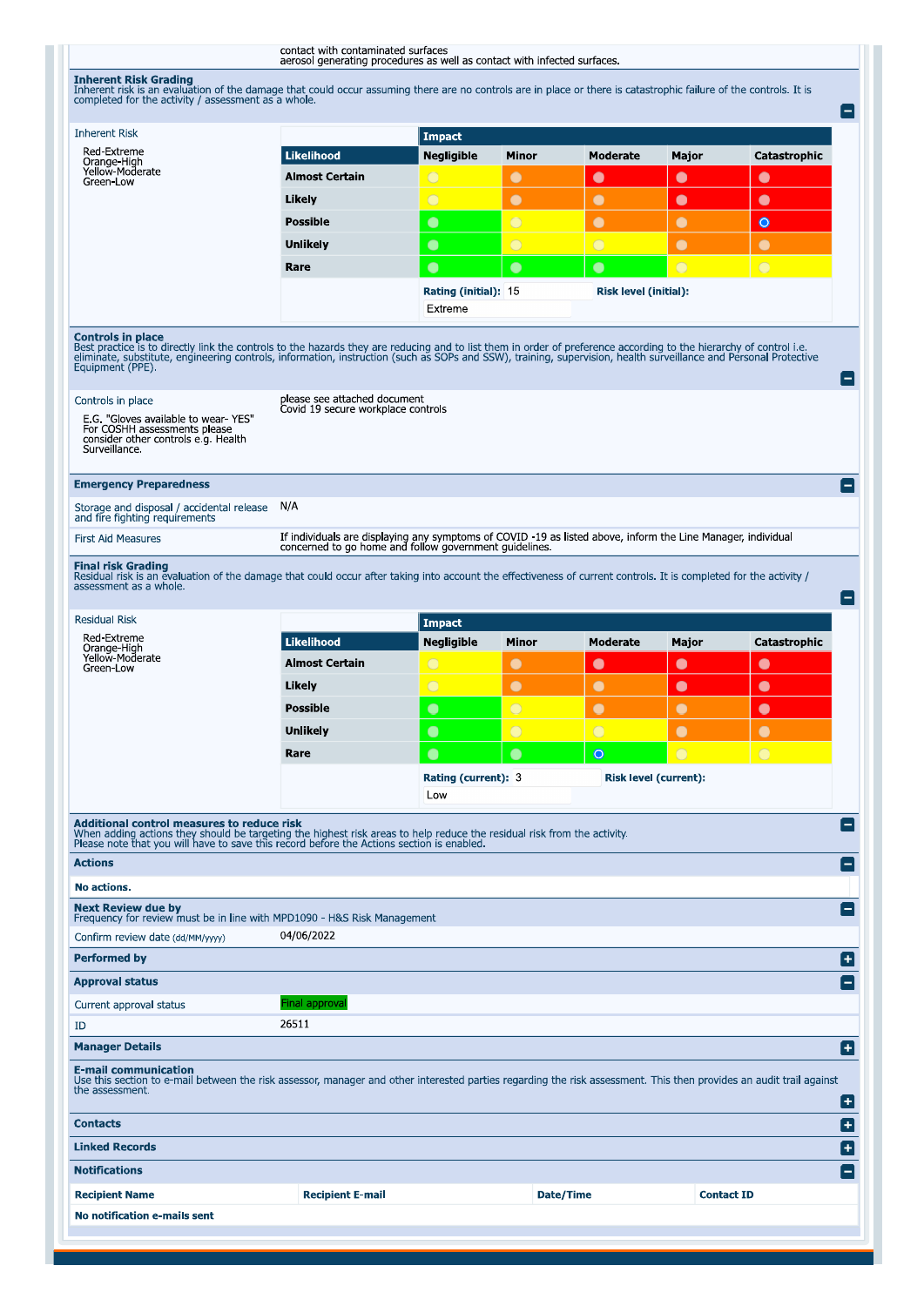contact with contaminated surfaces<br>aerosol generating procedures as well as contact with infected surfaces.

**Inherent Risk Grading**<br>Inherent risk is an evaluation of the damage that could occur assuming there are no controls are in place or there is catastrophic failure of the controls. It is<br>completed for the activity / assessm

| <b>Inherent Risk</b>                                                                                                                                                                                                                                                                                                                                                                                                                                                                                                                       |                                                                                                                                                                     | <b>Impact</b>                                            |                       |                              |                   |              |
|--------------------------------------------------------------------------------------------------------------------------------------------------------------------------------------------------------------------------------------------------------------------------------------------------------------------------------------------------------------------------------------------------------------------------------------------------------------------------------------------------------------------------------------------|---------------------------------------------------------------------------------------------------------------------------------------------------------------------|----------------------------------------------------------|-----------------------|------------------------------|-------------------|--------------|
| Red-Extreme<br>Orange-High<br>Yellow-Moderate                                                                                                                                                                                                                                                                                                                                                                                                                                                                                              | <b>Likelihood</b>                                                                                                                                                   | <b>Negligible</b>                                        | Minor                 | <b>Moderate</b>              | Major             | Catastrophic |
| Green-Low                                                                                                                                                                                                                                                                                                                                                                                                                                                                                                                                  | <b>Almost Certain</b>                                                                                                                                               | $\bigcirc$                                               | $\bullet$             | $\bullet$                    | $\bullet$         | $\bullet$    |
|                                                                                                                                                                                                                                                                                                                                                                                                                                                                                                                                            | Likely                                                                                                                                                              | $\bigcirc$                                               | $\bullet$             | $\bullet$                    | $\bullet$         | $\bullet$    |
|                                                                                                                                                                                                                                                                                                                                                                                                                                                                                                                                            | <b>Possible</b>                                                                                                                                                     | $\bullet$                                                | $\overline{O}$        | $\bullet$                    | $\bullet$         | $\bullet$    |
|                                                                                                                                                                                                                                                                                                                                                                                                                                                                                                                                            | <b>Unlikely</b>                                                                                                                                                     | $\bullet$                                                | $\overline{O}$        | $\overline{O}$               | $\bullet$         | $\bullet$    |
|                                                                                                                                                                                                                                                                                                                                                                                                                                                                                                                                            | Rare                                                                                                                                                                | $\bullet$                                                | $\bullet$             | $\bullet$                    | $\bigcirc$        | $\bigcirc$   |
|                                                                                                                                                                                                                                                                                                                                                                                                                                                                                                                                            |                                                                                                                                                                     | Rating (initial): 15<br>Risk level (initial):<br>Extreme |                       |                              |                   |              |
|                                                                                                                                                                                                                                                                                                                                                                                                                                                                                                                                            |                                                                                                                                                                     |                                                          |                       |                              |                   |              |
| <b>Controls in place</b><br>Best practice is to directly link the controls to the hazards they are reducing and to list them in order of preference according to the hierarchy of control i.e.<br>eliminate, substitute, engineering controls, information, instruction (such as SOPs and SSW), training, supervision, health surveillance and Personal Protective<br>Equipment (PPE).<br>Controls in place<br>E.G. "Gloves available to wear-YES"<br>For COSHH assessments please<br>consider other controls e.g. Health<br>Surveillance. | please see attached document<br>Covid 19 secure workplace controls                                                                                                  |                                                          |                       |                              |                   |              |
| <b>Emergency Preparedness</b>                                                                                                                                                                                                                                                                                                                                                                                                                                                                                                              |                                                                                                                                                                     |                                                          |                       |                              |                   |              |
| Storage and disposal / accidental release<br>and fire fighting requirements                                                                                                                                                                                                                                                                                                                                                                                                                                                                | N/A                                                                                                                                                                 |                                                          |                       |                              |                   |              |
| <b>First Aid Measures</b>                                                                                                                                                                                                                                                                                                                                                                                                                                                                                                                  | If individuals are displaying any symptoms of COVID -19 as listed above, inform the Line Manager, individual concerned to go home and follow government guidelines. |                                                          |                       |                              |                   |              |
|                                                                                                                                                                                                                                                                                                                                                                                                                                                                                                                                            |                                                                                                                                                                     |                                                          |                       |                              |                   |              |
| <b>Final risk Grading</b><br>Residual risk is an evaluation of the damage that could occur after taking into account the effectiveness of current controls. It is completed for the activity /<br>assessment as a whole.                                                                                                                                                                                                                                                                                                                   |                                                                                                                                                                     |                                                          |                       |                              |                   |              |
| <b>Residual Risk</b>                                                                                                                                                                                                                                                                                                                                                                                                                                                                                                                       |                                                                                                                                                                     | <b>Impact</b>                                            |                       |                              |                   |              |
|                                                                                                                                                                                                                                                                                                                                                                                                                                                                                                                                            |                                                                                                                                                                     |                                                          |                       |                              |                   |              |
| Red-Extreme<br>Orange-High                                                                                                                                                                                                                                                                                                                                                                                                                                                                                                                 | <b>Likelihood</b>                                                                                                                                                   | <b>Negligible</b>                                        | Minor                 | Moderate                     | Major             | Catastrophic |
| Yellow-Moderate<br>Green-Low                                                                                                                                                                                                                                                                                                                                                                                                                                                                                                               | <b>Almost Certain</b>                                                                                                                                               | $\bigcirc$                                               | $\bullet$             | $\bullet$                    | $\bullet$         | $\bullet$    |
|                                                                                                                                                                                                                                                                                                                                                                                                                                                                                                                                            | Likely                                                                                                                                                              | $\overline{O}$                                           | $\bullet$             | $\bullet$                    | $\bullet$         | $\bullet$    |
|                                                                                                                                                                                                                                                                                                                                                                                                                                                                                                                                            | <b>Possible</b>                                                                                                                                                     | $\bullet$                                                | $\overline{\bigcirc}$ | $\bullet$                    | $\bullet$         | $\bullet$    |
|                                                                                                                                                                                                                                                                                                                                                                                                                                                                                                                                            | <b>Unlikely</b>                                                                                                                                                     | $\bullet$                                                | $\bigcirc$            | $\overline{O}$               | $\bullet$         | $\bullet$    |
|                                                                                                                                                                                                                                                                                                                                                                                                                                                                                                                                            | Rare                                                                                                                                                                | $\bullet$                                                | $\bullet$             | $\circ$                      | $\bigcirc$        | $\bigcirc$   |
|                                                                                                                                                                                                                                                                                                                                                                                                                                                                                                                                            |                                                                                                                                                                     | Rating (current): 3<br>Low                               |                       | <b>Risk level (current):</b> |                   |              |
|                                                                                                                                                                                                                                                                                                                                                                                                                                                                                                                                            |                                                                                                                                                                     |                                                          |                       |                              |                   |              |
| Additional control measures to reduce risk<br><b>Actions</b>                                                                                                                                                                                                                                                                                                                                                                                                                                                                               |                                                                                                                                                                     |                                                          |                       |                              |                   |              |
| No actions.                                                                                                                                                                                                                                                                                                                                                                                                                                                                                                                                |                                                                                                                                                                     |                                                          |                       |                              |                   |              |
|                                                                                                                                                                                                                                                                                                                                                                                                                                                                                                                                            |                                                                                                                                                                     |                                                          |                       |                              |                   |              |
| Confirm review date (dd/MM/yyyy)                                                                                                                                                                                                                                                                                                                                                                                                                                                                                                           | 04/06/2022                                                                                                                                                          |                                                          |                       |                              |                   |              |
|                                                                                                                                                                                                                                                                                                                                                                                                                                                                                                                                            |                                                                                                                                                                     |                                                          |                       |                              |                   |              |
|                                                                                                                                                                                                                                                                                                                                                                                                                                                                                                                                            |                                                                                                                                                                     |                                                          |                       |                              |                   |              |
|                                                                                                                                                                                                                                                                                                                                                                                                                                                                                                                                            | Final approval                                                                                                                                                      |                                                          |                       |                              |                   |              |
|                                                                                                                                                                                                                                                                                                                                                                                                                                                                                                                                            | 26511                                                                                                                                                               |                                                          |                       |                              |                   |              |
| <b>Next Review due by</b><br>Frequency for review must be in line with MPD1090 - H&S Risk Management<br><b>Performed by</b><br>Current approval status<br>ID                                                                                                                                                                                                                                                                                                                                                                               |                                                                                                                                                                     |                                                          |                       |                              |                   |              |
| <b>Manager Details</b><br>E-mail communication<br>Use this section to e-mail between the risk assessor, manager and other interested parties regarding the risk assessment. This then provides an audit trail against<br>the assessment.                                                                                                                                                                                                                                                                                                   |                                                                                                                                                                     |                                                          |                       |                              |                   |              |
| When adding actions they should be targeting the highest risk areas to help reduce the residual risk from the activity.<br>Please note that you will have to save this record before the Actions section is enabled.<br><b>Approval status</b><br><b>Contacts</b>                                                                                                                                                                                                                                                                          |                                                                                                                                                                     |                                                          |                       |                              |                   |              |
| <b>Linked Records</b>                                                                                                                                                                                                                                                                                                                                                                                                                                                                                                                      |                                                                                                                                                                     |                                                          |                       |                              |                   |              |
| <b>Notifications</b>                                                                                                                                                                                                                                                                                                                                                                                                                                                                                                                       |                                                                                                                                                                     |                                                          |                       |                              |                   |              |
| <b>Recipient Name</b>                                                                                                                                                                                                                                                                                                                                                                                                                                                                                                                      | <b>Recipient E-mail</b>                                                                                                                                             |                                                          |                       | Date/Time                    | <b>Contact ID</b> |              |